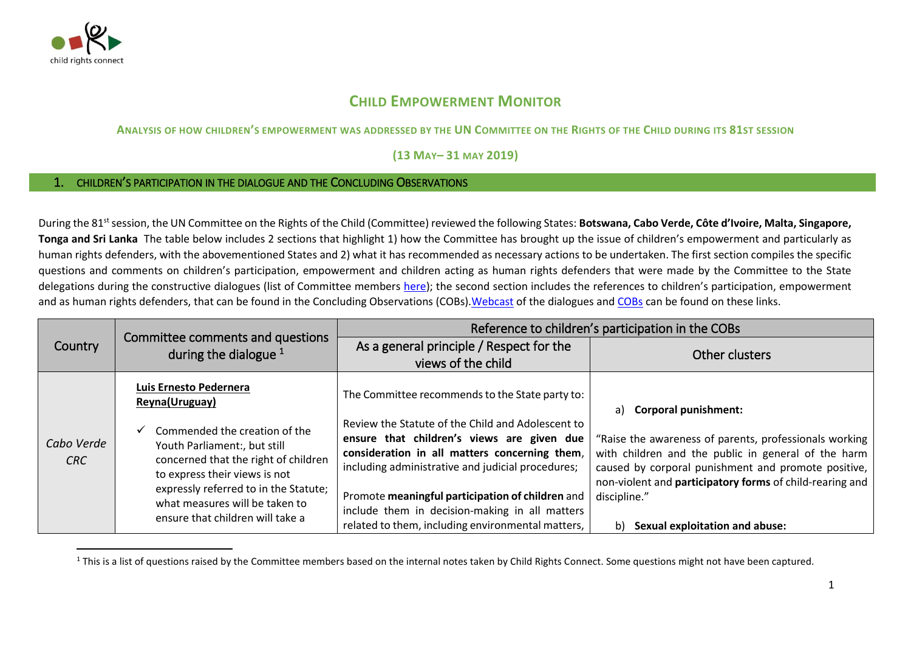

 $\overline{a}$ 

## **CHILD EMPOWERMENT MONITOR**

## ANALYSIS OF HOW CHILDREN'S EMPOWERMENT WAS ADDRESSED BY THE UN COMMITTEE ON THE RIGHTS OF THE CHILD DURING ITS 81ST SESSION

**(13 MAY– 31 MAY 2019)**

## 1. CHILDREN'S PARTICIPATION IN THE DIALOGUE AND THE CONCLUDING OBSERVATIONS

During the 81<sup>st</sup> session, the UN Committee on the Rights of the Child (Committee) reviewed the following States: **Botswana, Cabo Verde, Côte d'Ivoire, Malta, Singapore, Tonga and Sri Lanka** The table below includes 2 sections that highlight 1) how the Committee has brought up the issue of children's empowerment and particularly as human rights defenders, with the abovementioned States and 2) what it has recommended as necessary actions to be undertaken. The first section compiles the specific questions and comments on children's participation, empowerment and children acting as human rights defenders that were made by the Committee to the State delegations during the constructive dialogues (list of Committee members [here](http://www.ohchr.org/EN/HRBodies/CRC/Pages/Membership.aspx)); the second section includes the references to children's participation, empowerment and as human rights defenders, that can be found in the Concluding Observations (COBs). Webcast of the dialogues an[d COBs](https://tbinternet.ohchr.org/_layouts/15/treatybodyexternal/SessionDetails1.aspx?SessionID=1268&Lang=en) can be found on these links.

|                   |                                                                                                                                                                                                                                                                                                   | Reference to children's participation in the COBs                                                                                                                                                                                                                                                                                                                                                                   |                                                                                                                                                                                                                                                                                                                                      |
|-------------------|---------------------------------------------------------------------------------------------------------------------------------------------------------------------------------------------------------------------------------------------------------------------------------------------------|---------------------------------------------------------------------------------------------------------------------------------------------------------------------------------------------------------------------------------------------------------------------------------------------------------------------------------------------------------------------------------------------------------------------|--------------------------------------------------------------------------------------------------------------------------------------------------------------------------------------------------------------------------------------------------------------------------------------------------------------------------------------|
| <b>Country</b>    | Committee comments and questions<br>during the dialogue $1$                                                                                                                                                                                                                                       | As a general principle / Respect for the                                                                                                                                                                                                                                                                                                                                                                            |                                                                                                                                                                                                                                                                                                                                      |
|                   |                                                                                                                                                                                                                                                                                                   | views of the child                                                                                                                                                                                                                                                                                                                                                                                                  | Other clusters                                                                                                                                                                                                                                                                                                                       |
| Cabo Verde<br>CRC | Luis Ernesto Pedernera<br>Reyna(Uruguay)<br>Commended the creation of the<br>Youth Parliament:, but still<br>concerned that the right of children<br>to express their views is not<br>expressly referred to in the Statute;<br>what measures will be taken to<br>ensure that children will take a | The Committee recommends to the State party to:<br>Review the Statute of the Child and Adolescent to<br>ensure that children's views are given due<br>consideration in all matters concerning them,<br>including administrative and judicial procedures;<br>Promote meaningful participation of children and<br>include them in decision-making in all matters<br>related to them, including environmental matters, | <b>Corporal punishment:</b><br>a)<br>"Raise the awareness of parents, professionals working<br>with children and the public in general of the harm<br>caused by corporal punishment and promote positive,<br>non-violent and participatory forms of child-rearing and<br>discipline."<br><b>Sexual exploitation and abuse:</b><br>b) |

<sup>&</sup>lt;sup>1</sup> This is a list of questions raised by the Committee members based on the internal notes taken by Child Rights Connect. Some questions might not have been captured.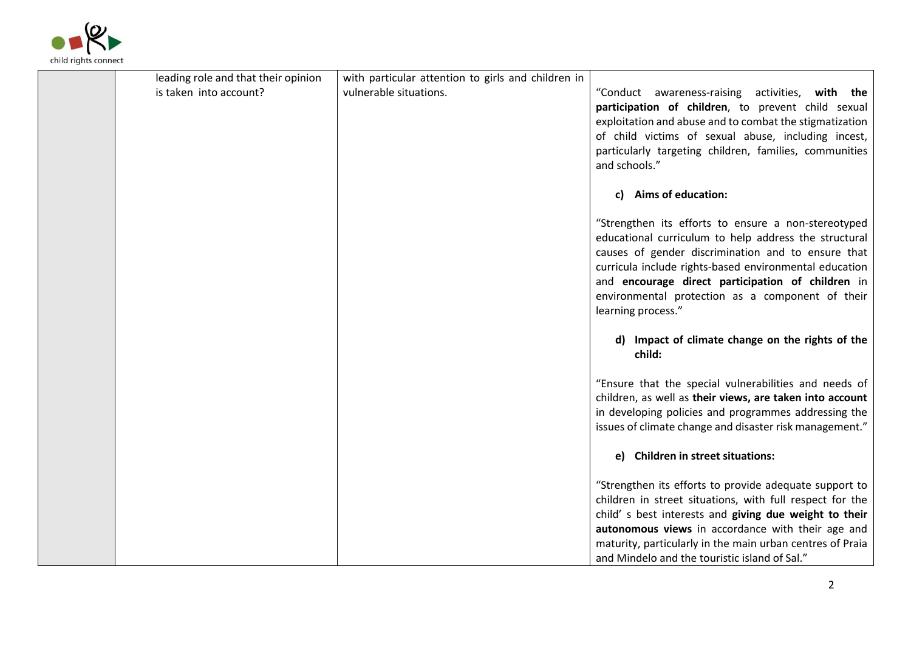

| leading role and that their opinion | with particular attention to girls and children in |                                                                                                                                                                                                                                                                                                                                                             |
|-------------------------------------|----------------------------------------------------|-------------------------------------------------------------------------------------------------------------------------------------------------------------------------------------------------------------------------------------------------------------------------------------------------------------------------------------------------------------|
| is taken into account?              | vulnerable situations.                             | "Conduct awareness-raising activities, with the<br>participation of children, to prevent child sexual<br>exploitation and abuse and to combat the stigmatization<br>of child victims of sexual abuse, including incest,<br>particularly targeting children, families, communities<br>and schools."                                                          |
|                                     |                                                    | c) Aims of education:                                                                                                                                                                                                                                                                                                                                       |
|                                     |                                                    | "Strengthen its efforts to ensure a non-stereotyped<br>educational curriculum to help address the structural<br>causes of gender discrimination and to ensure that<br>curricula include rights-based environmental education<br>and encourage direct participation of children in<br>environmental protection as a component of their<br>learning process." |
|                                     |                                                    | d) Impact of climate change on the rights of the<br>child:                                                                                                                                                                                                                                                                                                  |
|                                     |                                                    | "Ensure that the special vulnerabilities and needs of<br>children, as well as their views, are taken into account<br>in developing policies and programmes addressing the<br>issues of climate change and disaster risk management."                                                                                                                        |
|                                     |                                                    | e) Children in street situations:                                                                                                                                                                                                                                                                                                                           |
|                                     |                                                    | "Strengthen its efforts to provide adequate support to<br>children in street situations, with full respect for the<br>child' s best interests and giving due weight to their                                                                                                                                                                                |
|                                     |                                                    | autonomous views in accordance with their age and<br>maturity, particularly in the main urban centres of Praia<br>and Mindelo and the touristic island of Sal."                                                                                                                                                                                             |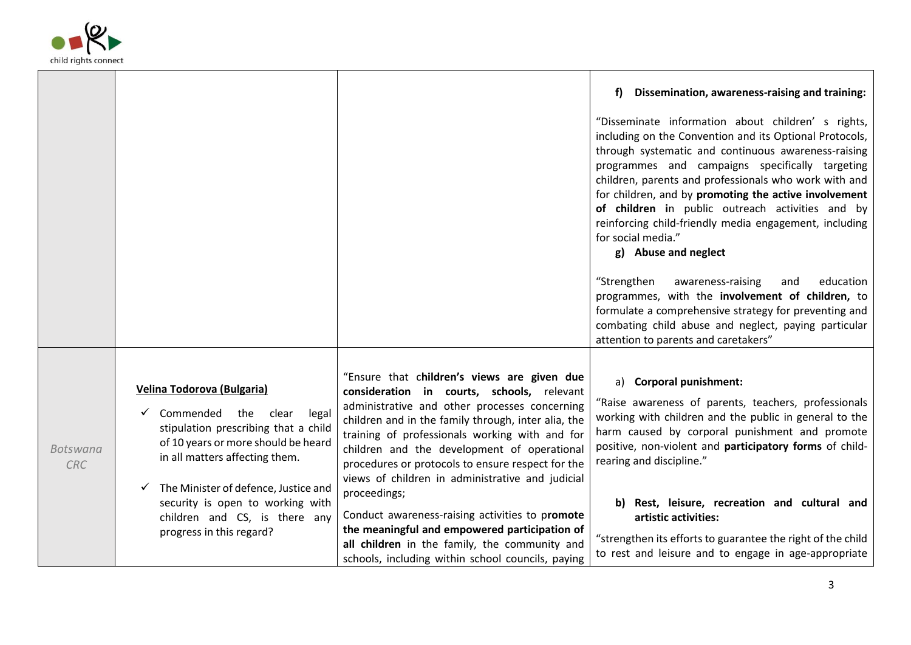

|                               |                                                                                                                                                                                                                                                            |                                                                                                                                                                                                                                                                                                                                                                                                                             | Dissemination, awareness-raising and training:<br>f)                                                                                                                                                                                                                                                                                                                                                                                                                                                                                                                                                                                                                       |
|-------------------------------|------------------------------------------------------------------------------------------------------------------------------------------------------------------------------------------------------------------------------------------------------------|-----------------------------------------------------------------------------------------------------------------------------------------------------------------------------------------------------------------------------------------------------------------------------------------------------------------------------------------------------------------------------------------------------------------------------|----------------------------------------------------------------------------------------------------------------------------------------------------------------------------------------------------------------------------------------------------------------------------------------------------------------------------------------------------------------------------------------------------------------------------------------------------------------------------------------------------------------------------------------------------------------------------------------------------------------------------------------------------------------------------|
|                               |                                                                                                                                                                                                                                                            |                                                                                                                                                                                                                                                                                                                                                                                                                             | "Disseminate information about children' s rights,<br>including on the Convention and its Optional Protocols,<br>through systematic and continuous awareness-raising<br>programmes and campaigns specifically targeting<br>children, parents and professionals who work with and<br>for children, and by promoting the active involvement<br>of children in public outreach activities and by<br>reinforcing child-friendly media engagement, including<br>for social media."<br>g) Abuse and neglect<br>"Strengthen<br>awareness-raising<br>education<br>and<br>programmes, with the involvement of children, to<br>formulate a comprehensive strategy for preventing and |
|                               |                                                                                                                                                                                                                                                            |                                                                                                                                                                                                                                                                                                                                                                                                                             | combating child abuse and neglect, paying particular<br>attention to parents and caretakers"                                                                                                                                                                                                                                                                                                                                                                                                                                                                                                                                                                               |
| <b>Botswana</b><br><b>CRC</b> | Velina Todorova (Bulgaria)<br>Commended the<br>clear<br>legal<br>stipulation prescribing that a child<br>of 10 years or more should be heard<br>in all matters affecting them.<br>The Minister of defence, Justice and<br>security is open to working with | "Ensure that children's views are given due<br>consideration in courts, schools, relevant<br>administrative and other processes concerning<br>children and in the family through, inter alia, the<br>training of professionals working with and for<br>children and the development of operational<br>procedures or protocols to ensure respect for the<br>views of children in administrative and judicial<br>proceedings; | a) Corporal punishment:<br>"Raise awareness of parents, teachers, professionals<br>working with children and the public in general to the<br>harm caused by corporal punishment and promote<br>positive, non-violent and participatory forms of child-<br>rearing and discipline."<br>b) Rest, leisure, recreation and cultural and                                                                                                                                                                                                                                                                                                                                        |
|                               | children and CS, is there any<br>progress in this regard?                                                                                                                                                                                                  | Conduct awareness-raising activities to promote<br>the meaningful and empowered participation of<br>all children in the family, the community and<br>schools, including within school councils, paying                                                                                                                                                                                                                      | artistic activities:<br>"strengthen its efforts to guarantee the right of the child<br>to rest and leisure and to engage in age-appropriate                                                                                                                                                                                                                                                                                                                                                                                                                                                                                                                                |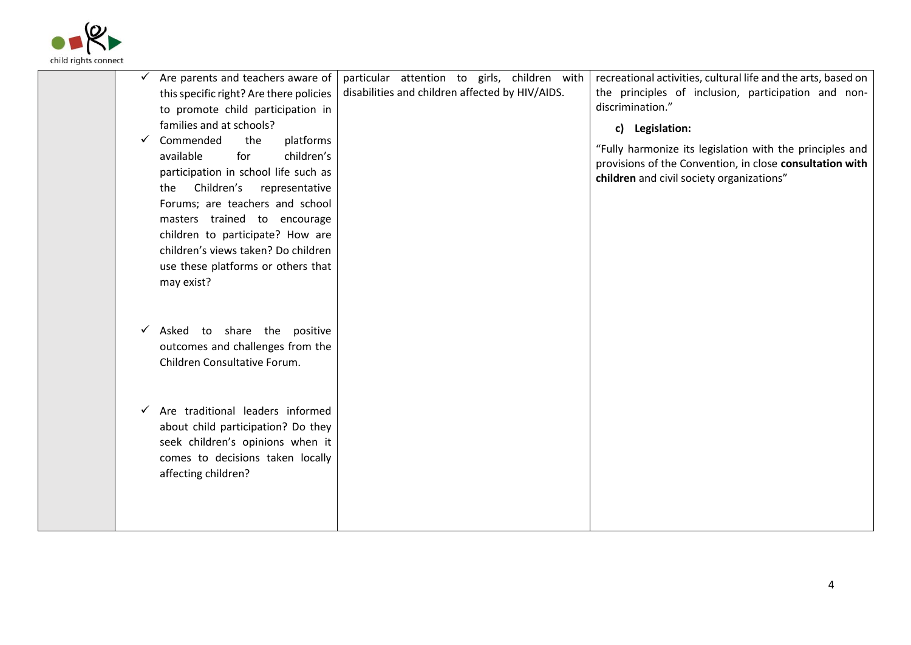

| Are parents and teachers aware of<br>$\checkmark$<br>this specific right? Are there policies<br>to promote child participation in<br>families and at schools?<br>Commended<br>the<br>platforms<br>$\checkmark$<br>children's<br>available<br>for<br>participation in school life such as<br>Children's<br>representative<br>the<br>Forums; are teachers and school<br>masters trained to encourage<br>children to participate? How are<br>children's views taken? Do children<br>use these platforms or others that<br>may exist? | particular attention to girls, children with<br>disabilities and children affected by HIV/AIDS. | recreational activities, cultural life and the arts, based on<br>the principles of inclusion, participation and non-<br>discrimination."<br>c) Legislation:<br>"Fully harmonize its legislation with the principles and<br>provisions of the Convention, in close consultation with<br>children and civil society organizations" |
|-----------------------------------------------------------------------------------------------------------------------------------------------------------------------------------------------------------------------------------------------------------------------------------------------------------------------------------------------------------------------------------------------------------------------------------------------------------------------------------------------------------------------------------|-------------------------------------------------------------------------------------------------|----------------------------------------------------------------------------------------------------------------------------------------------------------------------------------------------------------------------------------------------------------------------------------------------------------------------------------|
| Asked to share the positive<br>✓<br>outcomes and challenges from the<br>Children Consultative Forum.                                                                                                                                                                                                                                                                                                                                                                                                                              |                                                                                                 |                                                                                                                                                                                                                                                                                                                                  |
| Are traditional leaders informed<br>✓<br>about child participation? Do they<br>seek children's opinions when it<br>comes to decisions taken locally<br>affecting children?                                                                                                                                                                                                                                                                                                                                                        |                                                                                                 |                                                                                                                                                                                                                                                                                                                                  |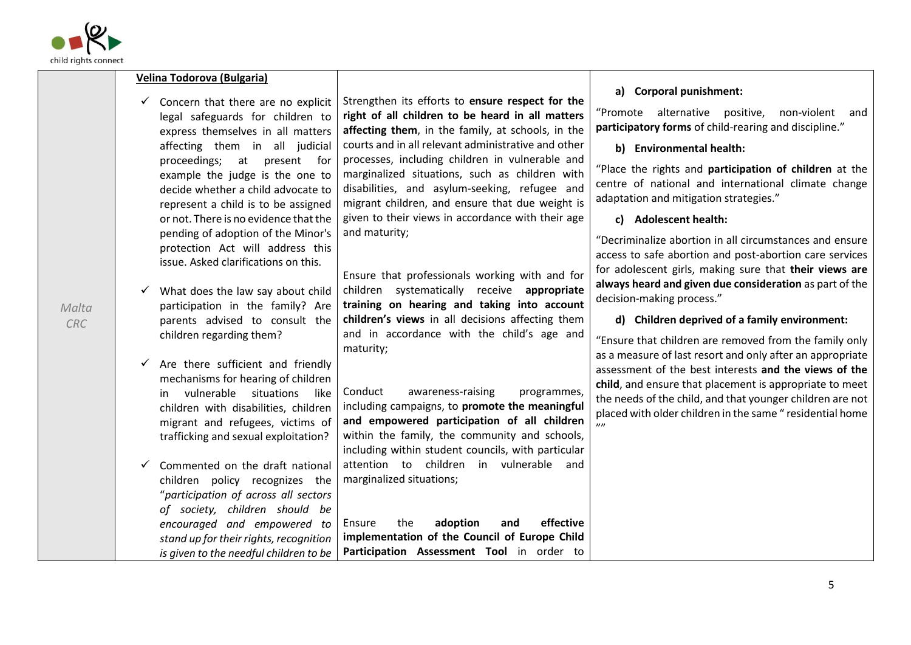

*Malta CRC*

| a) Corporal punishment:<br>Strengthen its efforts to ensure respect for the<br>Concern that there are no explicit<br>$\checkmark$                                                    |                    |
|--------------------------------------------------------------------------------------------------------------------------------------------------------------------------------------|--------------------|
| "Promote alternative positive,<br>right of all children to be heard in all matters<br>legal safeguards for children to                                                               | non-violent<br>and |
| participatory forms of child-rearing and discipline."<br>affecting them, in the family, at schools, in the<br>express themselves in all matters                                      |                    |
| courts and in all relevant administrative and other<br>affecting them in all judicial<br>b) Environmental health:                                                                    |                    |
| processes, including children in vulnerable and<br>proceedings; at present for<br>"Place the rights and participation of children at the                                             |                    |
| marginalized situations, such as children with<br>example the judge is the one to<br>centre of national and international climate change                                             |                    |
| disabilities, and asylum-seeking, refugee and<br>decide whether a child advocate to<br>adaptation and mitigation strategies."                                                        |                    |
| migrant children, and ensure that due weight is<br>represent a child is to be assigned<br>given to their views in accordance with their age<br>or not. There is no evidence that the |                    |
| c) Adolescent health:<br>and maturity;<br>pending of adoption of the Minor's                                                                                                         |                    |
| "Decriminalize abortion in all circumstances and ensure<br>protection Act will address this                                                                                          |                    |
| access to safe abortion and post-abortion care services<br>issue. Asked clarifications on this.                                                                                      |                    |
| for adolescent girls, making sure that their views are<br>Ensure that professionals working with and for                                                                             |                    |
| always heard and given due consideration as part of the<br>children systematically receive appropriate<br>What does the law say about child<br>decision-making process."             |                    |
| training on hearing and taking into account<br>participation in the family? Are                                                                                                      |                    |
| children's views in all decisions affecting them<br>d) Children deprived of a family environment:<br>parents advised to consult the                                                  |                    |
| and in accordance with the child's age and<br>children regarding them?<br>"Ensure that children are removed from the family only                                                     |                    |
| maturity;<br>as a measure of last resort and only after an appropriate<br>Are there sufficient and friendly                                                                          |                    |
| assessment of the best interests and the views of the<br>mechanisms for hearing of children                                                                                          |                    |
| child, and ensure that placement is appropriate to meet<br>Conduct<br>awareness-raising<br>in vulnerable situations<br>programmes,<br>like                                           |                    |
| the needs of the child, and that younger children are not<br>including campaigns, to promote the meaningful<br>children with disabilities, children                                  |                    |
| placed with older children in the same "residential home<br>and empowered participation of all children<br>migrant and refugees, victims of<br>$\overline{u}$                        |                    |
| within the family, the community and schools,<br>trafficking and sexual exploitation?                                                                                                |                    |
| including within student councils, with particular                                                                                                                                   |                    |
| attention to children in vulnerable and<br>Commented on the draft national                                                                                                           |                    |
| marginalized situations;<br>children policy recognizes the                                                                                                                           |                    |
| "participation of across all sectors                                                                                                                                                 |                    |
| of society, children should be<br>the<br>adoption<br>effective<br>Ensure<br>and<br>encouraged and empowered to                                                                       |                    |
| implementation of the Council of Europe Child<br>stand up for their rights, recognition                                                                                              |                    |
| Participation Assessment Tool in order to<br>is given to the needful children to be                                                                                                  |                    |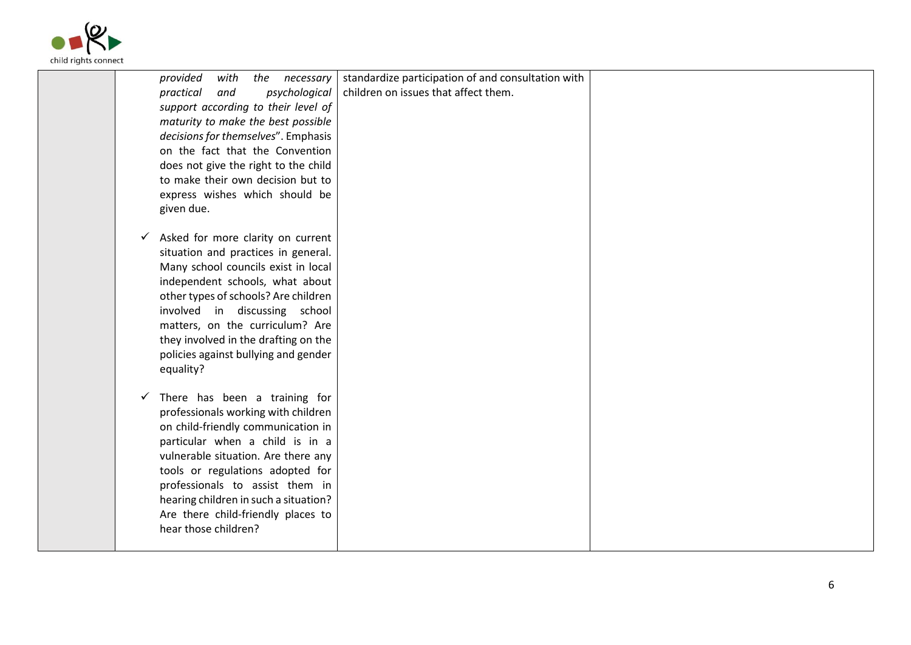

| children on issues that affect them.<br>psychological<br>practical<br>and<br>support according to their level of<br>maturity to make the best possible<br>decisions for themselves". Emphasis<br>on the fact that the Convention<br>does not give the right to the child<br>to make their own decision but to<br>express wishes which should be<br>given due.<br>$\checkmark$ Asked for more clarity on current<br>situation and practices in general.<br>Many school councils exist in local<br>independent schools, what about<br>other types of schools? Are children<br>involved in discussing school<br>matters, on the curriculum? Are<br>they involved in the drafting on the<br>policies against bullying and gender<br>equality?<br>$\checkmark$ There has been a training for<br>professionals working with children<br>on child-friendly communication in<br>particular when a child is in a<br>vulnerable situation. Are there any<br>tools or regulations adopted for<br>professionals to assist them in<br>hearing children in such a situation?<br>Are there child-friendly places to<br>hear those children? | provided<br>with<br>necessary<br>the | standardize participation of and consultation with |  |
|------------------------------------------------------------------------------------------------------------------------------------------------------------------------------------------------------------------------------------------------------------------------------------------------------------------------------------------------------------------------------------------------------------------------------------------------------------------------------------------------------------------------------------------------------------------------------------------------------------------------------------------------------------------------------------------------------------------------------------------------------------------------------------------------------------------------------------------------------------------------------------------------------------------------------------------------------------------------------------------------------------------------------------------------------------------------------------------------------------------------------|--------------------------------------|----------------------------------------------------|--|
|                                                                                                                                                                                                                                                                                                                                                                                                                                                                                                                                                                                                                                                                                                                                                                                                                                                                                                                                                                                                                                                                                                                              |                                      |                                                    |  |
|                                                                                                                                                                                                                                                                                                                                                                                                                                                                                                                                                                                                                                                                                                                                                                                                                                                                                                                                                                                                                                                                                                                              |                                      |                                                    |  |
|                                                                                                                                                                                                                                                                                                                                                                                                                                                                                                                                                                                                                                                                                                                                                                                                                                                                                                                                                                                                                                                                                                                              |                                      |                                                    |  |
|                                                                                                                                                                                                                                                                                                                                                                                                                                                                                                                                                                                                                                                                                                                                                                                                                                                                                                                                                                                                                                                                                                                              |                                      |                                                    |  |
|                                                                                                                                                                                                                                                                                                                                                                                                                                                                                                                                                                                                                                                                                                                                                                                                                                                                                                                                                                                                                                                                                                                              |                                      |                                                    |  |
|                                                                                                                                                                                                                                                                                                                                                                                                                                                                                                                                                                                                                                                                                                                                                                                                                                                                                                                                                                                                                                                                                                                              |                                      |                                                    |  |
|                                                                                                                                                                                                                                                                                                                                                                                                                                                                                                                                                                                                                                                                                                                                                                                                                                                                                                                                                                                                                                                                                                                              |                                      |                                                    |  |
|                                                                                                                                                                                                                                                                                                                                                                                                                                                                                                                                                                                                                                                                                                                                                                                                                                                                                                                                                                                                                                                                                                                              |                                      |                                                    |  |
|                                                                                                                                                                                                                                                                                                                                                                                                                                                                                                                                                                                                                                                                                                                                                                                                                                                                                                                                                                                                                                                                                                                              |                                      |                                                    |  |
|                                                                                                                                                                                                                                                                                                                                                                                                                                                                                                                                                                                                                                                                                                                                                                                                                                                                                                                                                                                                                                                                                                                              |                                      |                                                    |  |
|                                                                                                                                                                                                                                                                                                                                                                                                                                                                                                                                                                                                                                                                                                                                                                                                                                                                                                                                                                                                                                                                                                                              |                                      |                                                    |  |
|                                                                                                                                                                                                                                                                                                                                                                                                                                                                                                                                                                                                                                                                                                                                                                                                                                                                                                                                                                                                                                                                                                                              |                                      |                                                    |  |
|                                                                                                                                                                                                                                                                                                                                                                                                                                                                                                                                                                                                                                                                                                                                                                                                                                                                                                                                                                                                                                                                                                                              |                                      |                                                    |  |
|                                                                                                                                                                                                                                                                                                                                                                                                                                                                                                                                                                                                                                                                                                                                                                                                                                                                                                                                                                                                                                                                                                                              |                                      |                                                    |  |
|                                                                                                                                                                                                                                                                                                                                                                                                                                                                                                                                                                                                                                                                                                                                                                                                                                                                                                                                                                                                                                                                                                                              |                                      |                                                    |  |
|                                                                                                                                                                                                                                                                                                                                                                                                                                                                                                                                                                                                                                                                                                                                                                                                                                                                                                                                                                                                                                                                                                                              |                                      |                                                    |  |
|                                                                                                                                                                                                                                                                                                                                                                                                                                                                                                                                                                                                                                                                                                                                                                                                                                                                                                                                                                                                                                                                                                                              |                                      |                                                    |  |
|                                                                                                                                                                                                                                                                                                                                                                                                                                                                                                                                                                                                                                                                                                                                                                                                                                                                                                                                                                                                                                                                                                                              |                                      |                                                    |  |
|                                                                                                                                                                                                                                                                                                                                                                                                                                                                                                                                                                                                                                                                                                                                                                                                                                                                                                                                                                                                                                                                                                                              |                                      |                                                    |  |
|                                                                                                                                                                                                                                                                                                                                                                                                                                                                                                                                                                                                                                                                                                                                                                                                                                                                                                                                                                                                                                                                                                                              |                                      |                                                    |  |
|                                                                                                                                                                                                                                                                                                                                                                                                                                                                                                                                                                                                                                                                                                                                                                                                                                                                                                                                                                                                                                                                                                                              |                                      |                                                    |  |
|                                                                                                                                                                                                                                                                                                                                                                                                                                                                                                                                                                                                                                                                                                                                                                                                                                                                                                                                                                                                                                                                                                                              |                                      |                                                    |  |
|                                                                                                                                                                                                                                                                                                                                                                                                                                                                                                                                                                                                                                                                                                                                                                                                                                                                                                                                                                                                                                                                                                                              |                                      |                                                    |  |
|                                                                                                                                                                                                                                                                                                                                                                                                                                                                                                                                                                                                                                                                                                                                                                                                                                                                                                                                                                                                                                                                                                                              |                                      |                                                    |  |
|                                                                                                                                                                                                                                                                                                                                                                                                                                                                                                                                                                                                                                                                                                                                                                                                                                                                                                                                                                                                                                                                                                                              |                                      |                                                    |  |
|                                                                                                                                                                                                                                                                                                                                                                                                                                                                                                                                                                                                                                                                                                                                                                                                                                                                                                                                                                                                                                                                                                                              |                                      |                                                    |  |
|                                                                                                                                                                                                                                                                                                                                                                                                                                                                                                                                                                                                                                                                                                                                                                                                                                                                                                                                                                                                                                                                                                                              |                                      |                                                    |  |
|                                                                                                                                                                                                                                                                                                                                                                                                                                                                                                                                                                                                                                                                                                                                                                                                                                                                                                                                                                                                                                                                                                                              |                                      |                                                    |  |
|                                                                                                                                                                                                                                                                                                                                                                                                                                                                                                                                                                                                                                                                                                                                                                                                                                                                                                                                                                                                                                                                                                                              |                                      |                                                    |  |
|                                                                                                                                                                                                                                                                                                                                                                                                                                                                                                                                                                                                                                                                                                                                                                                                                                                                                                                                                                                                                                                                                                                              |                                      |                                                    |  |
|                                                                                                                                                                                                                                                                                                                                                                                                                                                                                                                                                                                                                                                                                                                                                                                                                                                                                                                                                                                                                                                                                                                              |                                      |                                                    |  |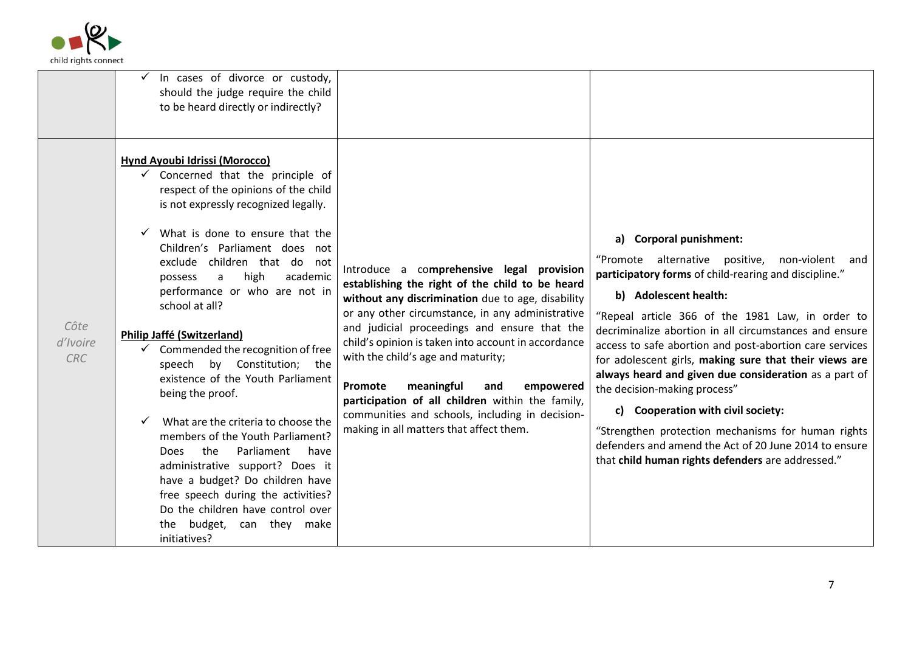

|                                | $\checkmark$ In cases of divorce or custody,<br>should the judge require the child<br>to be heard directly or indirectly?                                                                                                                                                                                                                                                                                                                                                                                                                                                                                                                                                                                                                                                                                                                                     |                                                                                                                                                                                                                                                                                                                                                                                                                                                                                                                                                   |                                                                                                                                                                                                                                                                                                                                                                                                                                                                                                                                                                                                                                                                                                   |
|--------------------------------|---------------------------------------------------------------------------------------------------------------------------------------------------------------------------------------------------------------------------------------------------------------------------------------------------------------------------------------------------------------------------------------------------------------------------------------------------------------------------------------------------------------------------------------------------------------------------------------------------------------------------------------------------------------------------------------------------------------------------------------------------------------------------------------------------------------------------------------------------------------|---------------------------------------------------------------------------------------------------------------------------------------------------------------------------------------------------------------------------------------------------------------------------------------------------------------------------------------------------------------------------------------------------------------------------------------------------------------------------------------------------------------------------------------------------|---------------------------------------------------------------------------------------------------------------------------------------------------------------------------------------------------------------------------------------------------------------------------------------------------------------------------------------------------------------------------------------------------------------------------------------------------------------------------------------------------------------------------------------------------------------------------------------------------------------------------------------------------------------------------------------------------|
| Côte<br>d'Ivoire<br><b>CRC</b> | <b>Hynd Ayoubi Idrissi (Morocco)</b><br>$\checkmark$ Concerned that the principle of<br>respect of the opinions of the child<br>is not expressly recognized legally.<br>What is done to ensure that the<br>Children's Parliament does not<br>exclude children that do not<br>high<br>academic<br>a<br>possess<br>performance or who are not in<br>school at all?<br><b>Philip Jaffé (Switzerland)</b><br>$\checkmark$ Commended the recognition of free<br>speech by Constitution; the<br>existence of the Youth Parliament<br>being the proof.<br>What are the criteria to choose the<br>members of the Youth Parliament?<br>Parliament<br>the<br>have<br>Does<br>administrative support? Does it<br>have a budget? Do children have<br>free speech during the activities?<br>Do the children have control over<br>the budget, can they make<br>initiatives? | Introduce a comprehensive legal provision<br>establishing the right of the child to be heard<br>without any discrimination due to age, disability<br>or any other circumstance, in any administrative<br>and judicial proceedings and ensure that the<br>child's opinion is taken into account in accordance<br>with the child's age and maturity;<br>meaningful<br>Promote<br>empowered<br>and<br>participation of all children within the family,<br>communities and schools, including in decision-<br>making in all matters that affect them. | a) Corporal punishment:<br>"Promote alternative positive, non-violent and<br>participatory forms of child-rearing and discipline."<br>b) Adolescent health:<br>"Repeal article 366 of the 1981 Law, in order to<br>decriminalize abortion in all circumstances and ensure<br>access to safe abortion and post-abortion care services<br>for adolescent girls, making sure that their views are<br>always heard and given due consideration as a part of<br>the decision-making process"<br>c) Cooperation with civil society:<br>"Strengthen protection mechanisms for human rights<br>defenders and amend the Act of 20 June 2014 to ensure<br>that child human rights defenders are addressed." |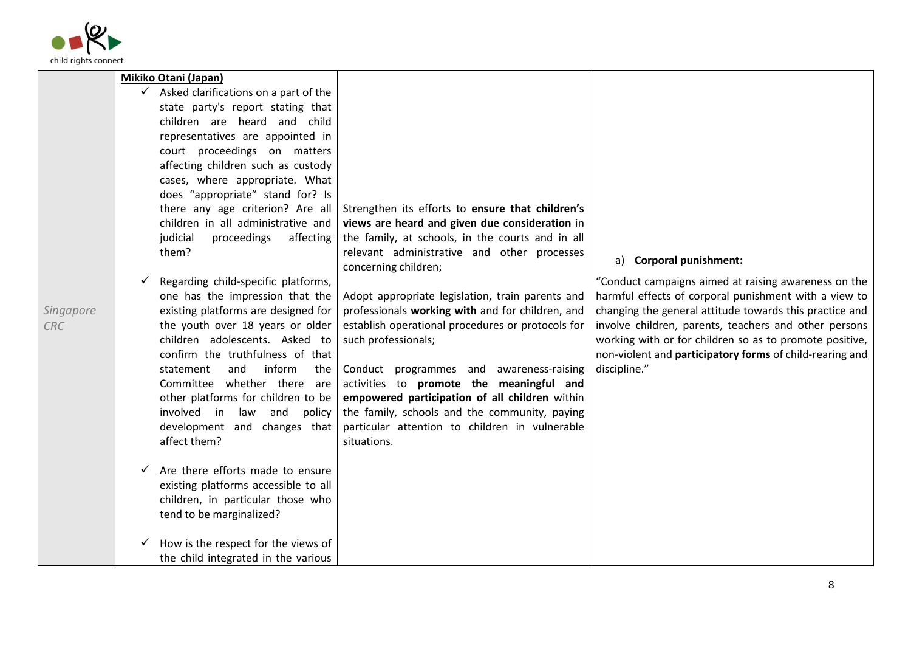

|            | Mikiko Otani (Japan)                               |                                                                     |                                                          |
|------------|----------------------------------------------------|---------------------------------------------------------------------|----------------------------------------------------------|
|            | $\checkmark$ Asked clarifications on a part of the |                                                                     |                                                          |
|            | state party's report stating that                  |                                                                     |                                                          |
|            | children are heard and child                       |                                                                     |                                                          |
|            | representatives are appointed in                   |                                                                     |                                                          |
|            | court proceedings on matters                       |                                                                     |                                                          |
|            | affecting children such as custody                 |                                                                     |                                                          |
|            | cases, where appropriate. What                     |                                                                     |                                                          |
|            | does "appropriate" stand for? Is                   |                                                                     |                                                          |
|            | there any age criterion? Are all                   | Strengthen its efforts to ensure that children's                    |                                                          |
|            | children in all administrative and                 | views are heard and given due consideration in                      |                                                          |
|            | judicial<br>proceedings<br>affecting<br>them?      | the family, at schools, in the courts and in all                    |                                                          |
|            |                                                    | relevant administrative and other processes<br>concerning children; | a) Corporal punishment:                                  |
|            | Regarding child-specific platforms,                |                                                                     | "Conduct campaigns aimed at raising awareness on the     |
|            | one has the impression that the                    | Adopt appropriate legislation, train parents and                    | harmful effects of corporal punishment with a view to    |
| Singapore  | existing platforms are designed for                | professionals working with and for children, and                    | changing the general attitude towards this practice and  |
| <b>CRC</b> | the youth over 18 years or older                   | establish operational procedures or protocols for                   | involve children, parents, teachers and other persons    |
|            | children adolescents. Asked to                     | such professionals;                                                 | working with or for children so as to promote positive,  |
|            | confirm the truthfulness of that                   |                                                                     | non-violent and participatory forms of child-rearing and |
|            | and<br>inform<br>the<br>statement                  | Conduct programmes and awareness-raising                            | discipline."                                             |
|            | Committee whether there are                        | activities to promote the meaningful and                            |                                                          |
|            | other platforms for children to be                 | empowered participation of all children within                      |                                                          |
|            | involved in law and<br>policy                      | the family, schools and the community, paying                       |                                                          |
|            | development and changes that                       | particular attention to children in vulnerable                      |                                                          |
|            | affect them?                                       | situations.                                                         |                                                          |
|            | Are there efforts made to ensure<br>$\checkmark$   |                                                                     |                                                          |
|            | existing platforms accessible to all               |                                                                     |                                                          |
|            | children, in particular those who                  |                                                                     |                                                          |
|            | tend to be marginalized?                           |                                                                     |                                                          |
|            | How is the respect for the views of                |                                                                     |                                                          |
|            | the child integrated in the various                |                                                                     |                                                          |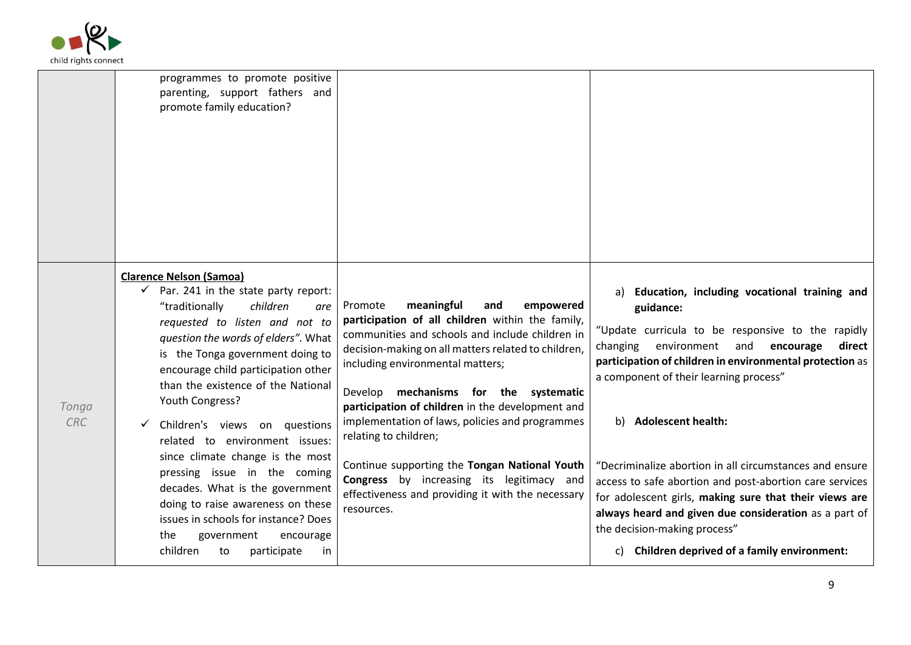

|              | programmes to promote positive<br>parenting, support fathers and<br>promote family education?                                                                                                                                                                                                                                                                                                                                                                                                                                                                                                                                                                                  |                                                                                                                                                                                                                                                                                                                                                                                                                                                                                                                                                                                              |                                                                                                                                                                                                                                                                                                                                                                                                                                                                                                                                                                                                                            |
|--------------|--------------------------------------------------------------------------------------------------------------------------------------------------------------------------------------------------------------------------------------------------------------------------------------------------------------------------------------------------------------------------------------------------------------------------------------------------------------------------------------------------------------------------------------------------------------------------------------------------------------------------------------------------------------------------------|----------------------------------------------------------------------------------------------------------------------------------------------------------------------------------------------------------------------------------------------------------------------------------------------------------------------------------------------------------------------------------------------------------------------------------------------------------------------------------------------------------------------------------------------------------------------------------------------|----------------------------------------------------------------------------------------------------------------------------------------------------------------------------------------------------------------------------------------------------------------------------------------------------------------------------------------------------------------------------------------------------------------------------------------------------------------------------------------------------------------------------------------------------------------------------------------------------------------------------|
| Tonga<br>CRC | <b>Clarence Nelson (Samoa)</b><br>Par. 241 in the state party report:<br>$\checkmark$<br>"traditionally<br>children<br>are<br>requested to listen and not to<br>question the words of elders". What<br>is the Tonga government doing to<br>encourage child participation other<br>than the existence of the National<br>Youth Congress?<br>Children's views on questions<br>related to environment issues:<br>since climate change is the most<br>pressing issue in the coming<br>decades. What is the government<br>doing to raise awareness on these<br>issues in schools for instance? Does<br>the<br>government<br>encourage<br>children<br>participate<br>to<br><i>in</i> | meaningful<br>empowered<br>Promote<br>and<br>participation of all children within the family,<br>communities and schools and include children in<br>decision-making on all matters related to children,<br>including environmental matters;<br>Develop mechanisms for the systematic<br>participation of children in the development and<br>implementation of laws, policies and programmes<br>relating to children;<br>Continue supporting the Tongan National Youth<br><b>Congress</b> by increasing its legitimacy and<br>effectiveness and providing it with the necessary<br>resources. | a) Education, including vocational training and<br>guidance:<br>"Update curricula to be responsive to the rapidly<br>changing environment and encourage<br>direct<br>participation of children in environmental protection as<br>a component of their learning process"<br>b) Adolescent health:<br>"Decriminalize abortion in all circumstances and ensure<br>access to safe abortion and post-abortion care services<br>for adolescent girls, making sure that their views are<br>always heard and given due consideration as a part of<br>the decision-making process"<br>c) Children deprived of a family environment: |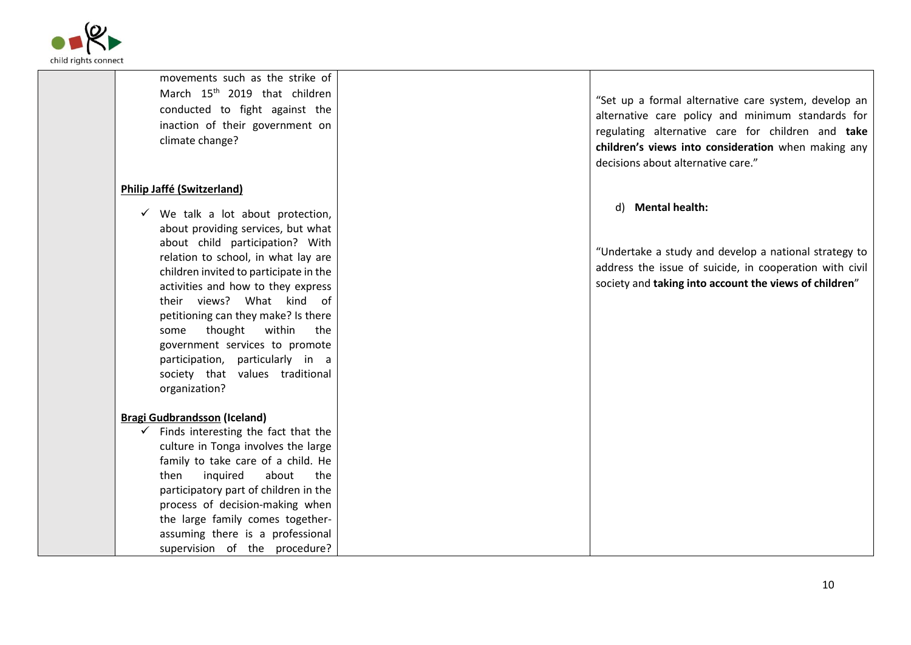

| movements such as the strike of<br>March 15 <sup>th</sup> 2019 that children<br>conducted to fight against the<br>inaction of their government on<br>climate change?                                                                                                                                                                                                                                                                                                                                                                                                                                                                                                                                                                                                                                                                                                      | "Set up a formal alternative care system, develop an<br>alternative care policy and minimum standards for<br>regulating alternative care for children and take<br>children's views into consideration when making any<br>decisions about alternative care." |
|---------------------------------------------------------------------------------------------------------------------------------------------------------------------------------------------------------------------------------------------------------------------------------------------------------------------------------------------------------------------------------------------------------------------------------------------------------------------------------------------------------------------------------------------------------------------------------------------------------------------------------------------------------------------------------------------------------------------------------------------------------------------------------------------------------------------------------------------------------------------------|-------------------------------------------------------------------------------------------------------------------------------------------------------------------------------------------------------------------------------------------------------------|
| <b>Philip Jaffé (Switzerland)</b><br>We talk a lot about protection,<br>about providing services, but what<br>about child participation? With<br>relation to school, in what lay are<br>children invited to participate in the<br>activities and how to they express<br>their views? What kind of<br>petitioning can they make? Is there<br>thought<br>within<br>the<br>some<br>government services to promote<br>participation, particularly in a<br>society that values traditional<br>organization?<br><b>Bragi Gudbrandsson (Iceland)</b><br>Finds interesting the fact that the<br>$\checkmark$<br>culture in Tonga involves the large<br>family to take care of a child. He<br>inquired<br>about<br>the<br>then<br>participatory part of children in the<br>process of decision-making when<br>the large family comes together-<br>assuming there is a professional | d) Mental health:<br>"Undertake a study and develop a national strategy to<br>address the issue of suicide, in cooperation with civil<br>society and taking into account the views of children"                                                             |
| supervision of the procedure?                                                                                                                                                                                                                                                                                                                                                                                                                                                                                                                                                                                                                                                                                                                                                                                                                                             |                                                                                                                                                                                                                                                             |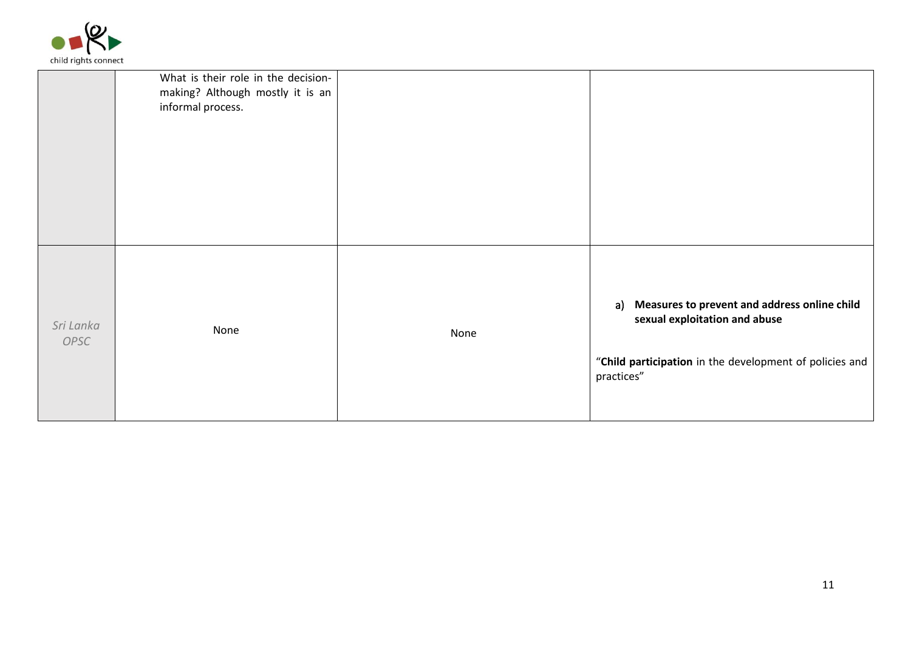

|                   | What is their role in the decision-<br>making? Although mostly it is an<br>informal process. |      |                                                                                                                                                           |
|-------------------|----------------------------------------------------------------------------------------------|------|-----------------------------------------------------------------------------------------------------------------------------------------------------------|
| Sri Lanka<br>OPSC | None                                                                                         | None | a) Measures to prevent and address online child<br>sexual exploitation and abuse<br>"Child participation in the development of policies and<br>practices" |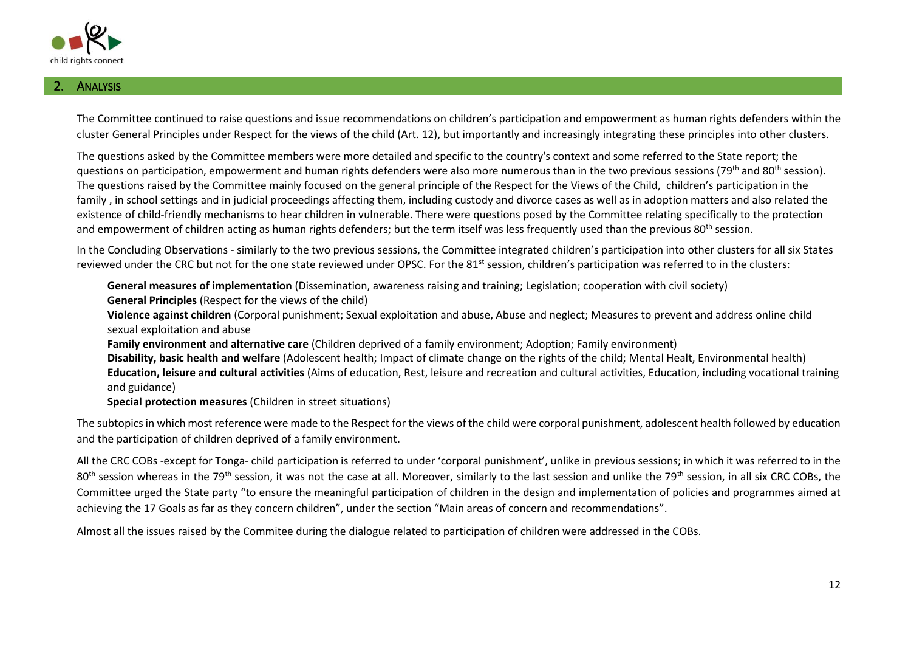

## **ANALYSIS**

The Committee continued to raise questions and issue recommendations on children's participation and empowerment as human rights defenders within the cluster General Principles under Respect for the views of the child (Art. 12), but importantly and increasingly integrating these principles into other clusters.

The questions asked by the Committee members were more detailed and specific to the country's context and some referred to the State report; the questions on participation, empowerment and human rights defenders were also more numerous than in the two previous sessions (79<sup>th</sup> and 80<sup>th</sup> session). The questions raised by the Committee mainly focused on the general principle of the Respect for the Views of the Child, children's participation in the family , in school settings and in judicial proceedings affecting them, including custody and divorce cases as well as in adoption matters and also related the existence of child-friendly mechanisms to hear children in vulnerable. There were questions posed by the Committee relating specifically to the protection and empowerment of children acting as human rights defenders; but the term itself was less frequently used than the previous 80<sup>th</sup> session.

In the Concluding Observations - similarly to the two previous sessions, the Committee integrated children's participation into other clusters for all six States reviewed under the CRC but not for the one state reviewed under OPSC. For the 81<sup>st</sup> session, children's participation was referred to in the clusters:

**General measures of implementation** (Dissemination, awareness raising and training; Legislation; cooperation with civil society)

**General Principles** (Respect for the views of the child)

**Violence against children** (Corporal punishment; Sexual exploitation and abuse, Abuse and neglect; Measures to prevent and address online child sexual exploitation and abuse

- **Family environment and alternative care** (Children deprived of a family environment; Adoption; Family environment)
- **Disability, basic health and welfare** (Adolescent health; Impact of climate change on the rights of the child; Mental Healt, Environmental health) **Education, leisure and cultural activities** (Aims of education, Rest, leisure and recreation and cultural activities, Education, including vocational training and guidance)
- **Special protection measures** (Children in street situations)

The subtopics in which most reference were made to the Respect for the views of the child were corporal punishment, adolescent health followed by education and the participation of children deprived of a family environment.

All the CRC COBs -except for Tonga- child participation is referred to under 'corporal punishment', unlike in previous sessions; in which it was referred to in the 80<sup>th</sup> session whereas in the 79<sup>th</sup> session, it was not the case at all. Moreover, similarly to the last session and unlike the 79<sup>th</sup> session, in all six CRC COBs, the Committee urged the State party "to ensure the meaningful participation of children in the design and implementation of policies and programmes aimed at achieving the 17 Goals as far as they concern children", under the section "Main areas of concern and recommendations".

Almost all the issues raised by the Commitee during the dialogue related to participation of children were addressed in the COBs.